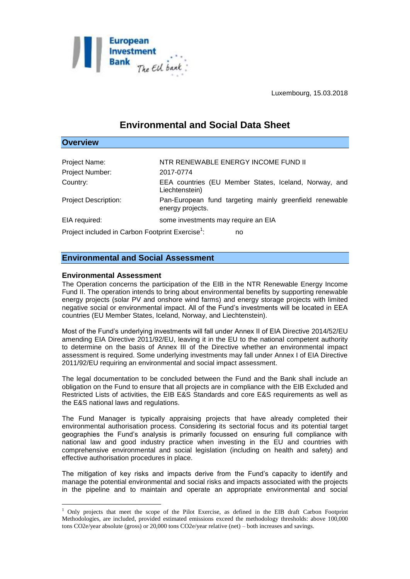

Luxembourg, 15.03.2018

# **Environmental and Social Data Sheet**

### **Overview**

1

| Project Name:                                                      | NTR RENEWABLE ENERGY INCOME FUND II                                         |
|--------------------------------------------------------------------|-----------------------------------------------------------------------------|
| Project Number:                                                    | 2017-0774                                                                   |
| Country:                                                           | EEA countries (EU Member States, Iceland, Norway, and<br>Liechtenstein)     |
| <b>Project Description:</b>                                        | Pan-European fund targeting mainly greenfield renewable<br>energy projects. |
| EIA required:                                                      | some investments may require an EIA                                         |
| Project included in Carbon Footprint Exercise <sup>1</sup> :<br>no |                                                                             |

## **Environmental and Social Assessment**

### **Environmental Assessment**

The Operation concerns the participation of the EIB in the NTR Renewable Energy Income Fund II. The operation intends to bring about environmental benefits by supporting renewable energy projects (solar PV and onshore wind farms) and energy storage projects with limited negative social or environmental impact. All of the Fund's investments will be located in EEA countries (EU Member States, Iceland, Norway, and Liechtenstein).

Most of the Fund's underlying investments will fall under Annex II of EIA Directive 2014/52/EU amending EIA Directive 2011/92/EU, leaving it in the EU to the national competent authority to determine on the basis of Annex III of the Directive whether an environmental impact assessment is required. Some underlying investments may fall under Annex I of EIA Directive 2011/92/EU requiring an environmental and social impact assessment.

The legal documentation to be concluded between the Fund and the Bank shall include an obligation on the Fund to ensure that all projects are in compliance with the EIB Excluded and Restricted Lists of activities, the EIB E&S Standards and core E&S requirements as well as the E&S national laws and regulations.

The Fund Manager is typically appraising projects that have already completed their environmental authorisation process. Considering its sectorial focus and its potential target geographies the Fund's analysis is primarily focussed on ensuring full compliance with national law and good industry practice when investing in the EU and countries with comprehensive environmental and social legislation (including on health and safety) and effective authorisation procedures in place.

The mitigation of key risks and impacts derive from the Fund's capacity to identify and manage the potential environmental and social risks and impacts associated with the projects in the pipeline and to maintain and operate an appropriate environmental and social

<sup>&</sup>lt;sup>1</sup> Only projects that meet the scope of the Pilot Exercise, as defined in the EIB draft Carbon Footprint Methodologies, are included, provided estimated emissions exceed the methodology thresholds: above 100,000 tons CO2e/year absolute (gross) or 20,000 tons CO2e/year relative (net) – both increases and savings.